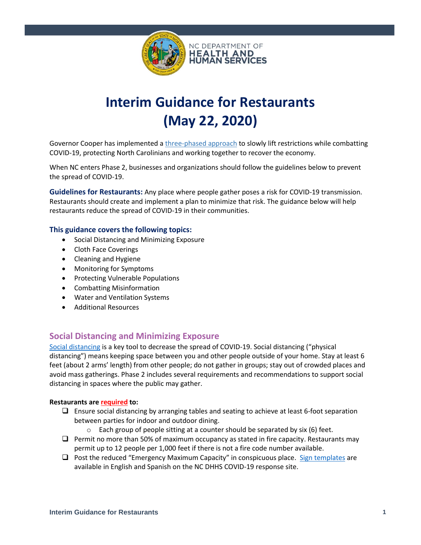

# **Interim Guidance for Restaurants (May 22, 2020)**

Governor Cooper has implemented a [three-phased approach](https://files.nc.gov/governor/documents/files/NC-3-PHASE-PLAN.pdf) to slowly lift restrictions while combatting COVID-19, protecting North Carolinians and working together to recover the economy.

When NC enters Phase 2, businesses and organizations should follow the guidelines below to prevent the spread of COVID-19.

**Guidelines for Restaurants:** Any place where people gather poses a risk for COVID-19 transmission. Restaurants should create and implement a plan to minimize that risk. The guidance below will help restaurants reduce the spread of COVID-19 in their communities.

#### **This guidance covers the following topics:**

- Social Distancing and Minimizing Exposure
- Cloth Face Coverings
- Cleaning and Hygiene
- Monitoring for Symptoms
- Protecting Vulnerable Populations
- Combatting Misinformation
- Water and Ventilation Systems
- Additional Resources

# **Social Distancing and Minimizing Exposure**

[Social distancing](https://www.cdc.gov/coronavirus/2019-ncov/prevent-getting-sick/social-distancing.html) is a key tool to decrease the spread of COVID-19. Social distancing ("physical distancing") means keeping space between you and other people outside of your home. Stay at least 6 feet (about 2 arms' length) from other people; do not gather in groups; stay out of crowded places and avoid mass gatherings. Phase 2 includes several requirements and recommendations to support social distancing in spaces where the public may gather.

#### **Restaurants are required to:**

- ❑ Ensure social distancing by arranging tables and seating to achieve at least 6-foot separation between parties for indoor and outdoor dining.
	- $\circ$  Each group of people sitting at a counter should be separated by six (6) feet.
- ❑ Permit no more than 50% of maximum occupancy as stated in fire capacity. Restaurants may permit up to 12 people per 1,000 feet if there is not a fire code number available.
- □ Post the reduced "Emergency Maximum Capacity" in conspicuous place. [Sign templates](https://covid19.ncdhhs.gov/guidance#phase-1-easing-of-restrictions) are available in English and Spanish on the NC DHHS COVID-19 response site.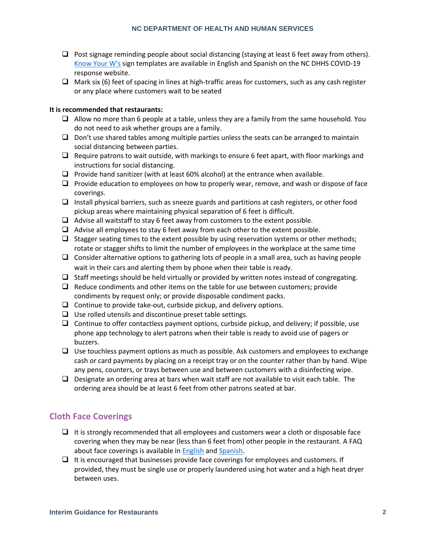- $\Box$  Post signage reminding people about social distancing (staying at least 6 feet away from others). [Know Your W's](https://covid19.ncdhhs.gov/materials-resources/know-your-ws-wear-wait-wash) sign templates are available in English and Spanish on the NC DHHS COVID-19 response website.
- $\Box$  Mark six (6) feet of spacing in lines at high-traffic areas for customers, such as any cash register or any place where customers wait to be seated

#### **It is recommended that restaurants:**

- $\Box$  Allow no more than 6 people at a table, unless they are a family from the same household. You do not need to ask whether groups are a family.
- $\Box$  Don't use shared tables among multiple parties unless the seats can be arranged to maintain social distancing between parties.
- $\Box$  Require patrons to wait outside, with markings to ensure 6 feet apart, with floor markings and instructions for social distancing.
- $\Box$  Provide hand sanitizer (with at least 60% alcohol) at the entrance when available.
- ❑ Provide education to employees on how to properly wear, remove, and wash or dispose of face coverings.
- ❑ Install physical barriers, such as sneeze guards and partitions at cash registers, or other food pickup areas where maintaining physical separation of 6 feet is difficult.
- $\Box$  Advise all waitstaff to stay 6 feet away from customers to the extent possible.
- ❑ Advise all employees to stay 6 feet away from each other to the extent possible.
- $\Box$  Stagger seating times to the extent possible by using reservation systems or other methods; rotate or stagger shifts to limit the number of employees in the workplace at the same time
- ❑ Consider alternative options to gathering lots of people in a small area, such as having people wait in their cars and alerting them by phone when their table is ready.
- $\Box$  Staff meetings should be held virtually or provided by written notes instead of congregating.
- ❑ Reduce condiments and other items on the table for use between customers; provide condiments by request only; or provide disposable condiment packs.
- $\Box$  Continue to provide take-out, curbside pickup, and delivery options.
- ❑ Use rolled utensils and discontinue preset table settings.
- $\Box$  Continue to offer contactless payment options, curbside pickup, and delivery; if possible, use phone app technology to alert patrons when their table is ready to avoid use of pagers or buzzers.
- ❑ Use touchless payment options as much as possible. Ask customers and employees to exchange cash or card payments by placing on a receipt tray or on the counter rather than by hand. Wipe any pens, counters, or trays between use and between customers with a disinfecting wipe.
- ❑ Designate an ordering area at bars when wait staff are not available to visit each table. The ordering area should be at least 6 feet from other patrons seated at bar.

# **Cloth Face Coverings**

- $\Box$  It is strongly recommended that all employees and customers wear a cloth or disposable face covering when they may be near (less than 6 feet from) other people in the restaurant. A FAQ about face coverings is available in **English and Spanish**.
- $\Box$  It is encouraged that businesses provide face coverings for employees and customers. If provided, they must be single use or properly laundered using hot water and a high heat dryer between uses.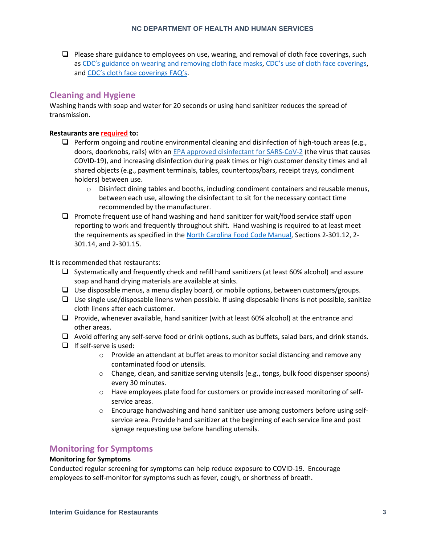$\Box$  Please share guidance to employees on use, wearing, and removal of cloth face coverings, such as CDC's guidance on [wearing and removing cloth face masks,](https://www.cdc.gov/coronavirus/2019-ncov/downloads/cloth-face-covering.pdf) [CDC's use of cloth face coverings](https://www.cdc.gov/coronavirus/2019-ncov/prevent-getting-sick/diy-cloth-face-coverings.html), and [CDC's cloth face coverings FAQ's](https://www.cdc.gov/coronavirus/2019-ncov/prevent-getting-sick/cloth-face-cover-faq.html).

# **Cleaning and Hygiene**

Washing hands with soap and water for 20 seconds or using hand sanitizer reduces the spread of transmission.

#### **Restaurants are required to:**

- $\Box$  Perform ongoing and routine environmental cleaning and disinfection of high-touch areas (e.g., doors, doorknobs, rails) with an [EPA approved disinfectant for SARS-CoV-2](https://www.epa.gov/pesticide-registration/list-n-disinfectants-use-against-sars-cov-2) (the virus that causes COVID-19), and increasing disinfection during peak times or high customer density times and all shared objects (e.g., payment terminals, tables, countertops/bars, receipt trays, condiment holders) between use.
	- $\circ$  Disinfect dining tables and booths, including condiment containers and reusable menus, between each use, allowing the disinfectant to sit for the necessary contact time recommended by the manufacturer.
- $\Box$  Promote frequent use of hand washing and hand sanitizer for wait/food service staff upon reporting to work and frequently throughout shift. Hand washing is required to at least meet the requirements as specified in the [North Carolina Food Code Manual,](https://ehs.ncpublichealth.com/faf/docs/foodprot/NC-FoodCodeManual-2009-FINAL.pdf) Sections 2-301.12, 2-301.14, and 2-301.15.

It is recommended that restaurants:

- ❑ Systematically and frequently check and refill hand sanitizers (at least 60% alcohol) and assure soap and hand drying materials are available at sinks.
- ❑ Use disposable menus, a menu display board, or mobile options, between customers/groups.
- $\Box$  Use single use/disposable linens when possible. If using disposable linens is not possible, sanitize cloth linens after each customer.
- ❑ Provide, whenever available, hand sanitizer (with at least 60% alcohol) at the entrance and other areas.
- ❑ Avoid offering any self-serve food or drink options, such as buffets, salad bars, and drink stands.
- ❑ If self-serve is used:
	- $\circ$  Provide an attendant at buffet areas to monitor social distancing and remove any contaminated food or utensils.
	- o Change, clean, and sanitize serving utensils (e.g., tongs, bulk food dispenser spoons) every 30 minutes.
	- o Have employees plate food for customers or provide increased monitoring of selfservice areas.
	- $\circ$  Encourage handwashing and hand sanitizer use among customers before using selfservice area. Provide hand sanitizer at the beginning of each service line and post signage requesting use before handling utensils.

# **Monitoring for Symptoms**

#### **Monitoring for Symptoms**

Conducted regular screening for symptoms can help reduce exposure to COVID-19. Encourage employees to self-monitor for symptoms such as fever, cough, or shortness of breath.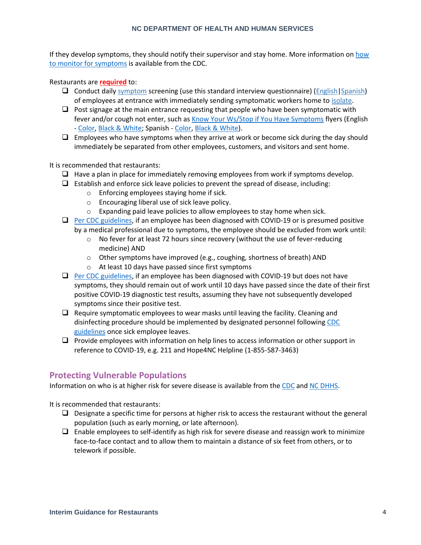#### **NC DEPARTMENT OF HEALTH AND HUMAN SERVICES**

If they develop symptoms, they should notify their supervisor and stay home. More information on [how](https://www.cdc.gov/coronavirus/2019-ncov/symptoms-testing/symptoms.html)  [to monitor for symptoms](https://www.cdc.gov/coronavirus/2019-ncov/symptoms-testing/symptoms.html) is available from the CDC.

#### Restaurants are **required** to:

- ❑ Conduct dail[y symptom](https://www.cdc.gov/coronavirus/2019-ncov/symptoms-testing/symptoms.html?CDC_AA_refVal=https%3A%2F%2Fwww.cdc.gov%2Fcoronavirus%2F2019-ncov%2Fsymptoms-testing%2Findex.html) screening (use this standard interview questionnaire) [\(English](https://files.nc.gov/ncdhhs/Symptom-Screening-Checklist-ENGLISH.docx)[|Spanish\)](https://files.nc.gov/ncdhhs/Symptom-Screening-Checklist-SPANISH.docx) of employees at entrance with immediately sending symptomatic workers home to [isolate.](https://www.cdc.gov/coronavirus/2019-ncov/if-you-are-sick/steps-when-sick.html)
- $\Box$  Post signage at the main entrance requesting that people who have been symptomatic with fever and/or cough not enter, such a[s Know Your Ws/Stop if You Have Symptoms](https://covid19.ncdhhs.gov/materials-resources/know-your-ws-wear-wait-wash) flyers (English - [Color,](https://files.nc.gov/ncdhhs/documents/files/covid-19/KnowYourWs-Business-Sign_ENG.pdf) [Black & White;](https://files.nc.gov/ncdhhs/documents/files/covid-19/KnowYourWs-BusinessSign-BW_ENG.pdf) Spanish - [Color,](https://files.nc.gov/ncdhhs/documents/files/covid-19/KnowYourWs-Business-Sign_SPA.pdf) [Black & White\)](https://files.nc.gov/ncdhhs/documents/files/covid-19/SS-BusinessSign-BW_SPA.pdf).
- $\Box$  Employees who have symptoms when they arrive at work or become sick during the day should immediately be separated from other employees, customers, and visitors and sent home.

#### It is recommended that restaurants:

- $\Box$  Have a plan in place for immediately removing employees from work if symptoms develop.
- $\Box$  Establish and enforce sick leave policies to prevent the spread of disease, including:
	- o Enforcing employees staying home if sick.
	- o Encouraging liberal use of sick leave policy.
	- o Expanding paid leave policies to allow employees to stay home when sick.
- ❑ [Per CDC guidelines,](https://www.cdc.gov/coronavirus/2019-ncov/hcp/disposition-hospitalized-patients.html) if an employee has been diagnosed with COVID-19 or is presumed positive by a medical professional due to symptoms, the employee should be excluded from work until:
	- $\circ$  No fever for at least 72 hours since recovery (without the use of fever-reducing medicine) AND
	- o Other symptoms have improved (e.g., coughing, shortness of breath) AND
	- o At least 10 days have passed since first symptoms
- □ [Per CDC guidelines,](https://www.cdc.gov/coronavirus/2019-ncov/hcp/disposition-hospitalized-patients.html) if an employee has been diagnosed with COVID-19 but does not have symptoms, they should remain out of work until 10 days have passed since the date of their first positive COVID-19 diagnostic test results, assuming they have not subsequently developed symptoms since their positive test.
- $\Box$  Require symptomatic employees to wear masks until leaving the facility. Cleaning and disinfecting procedure should be implemented by designated personnel followin[g CDC](https://www.cdc.gov/coronavirus/2019-ncov/community/organizations/cleaning-disinfection.html#Cleaning)  [guidelines](https://www.cdc.gov/coronavirus/2019-ncov/community/organizations/cleaning-disinfection.html#Cleaning) once sick employee leaves.
- ❑ Provide employees with information on help lines to access information or other support in reference to COVID-19, e.g. 211 and Hope4NC Helpline (1-855-587-3463)

### **Protecting Vulnerable Populations**

Information on who is at higher risk for severe disease is available from the [CDC](https://www.cdc.gov/coronavirus/2019-ncov/need-extra-precautions/people-at-higher-risk.html) and [NC DHHS.](https://covid19.ncdhhs.gov/information/individuals-families-communities/individuals-higher-risk)

It is recommended that restaurants:

- $\Box$  Designate a specific time for persons at higher risk to access the restaurant without the general population (such as early morning, or late afternoon).
- $\Box$  Enable employees to self-identify as high risk for severe disease and reassign work to minimize face-to-face contact and to allow them to maintain a distance of six feet from others, or to telework if possible.